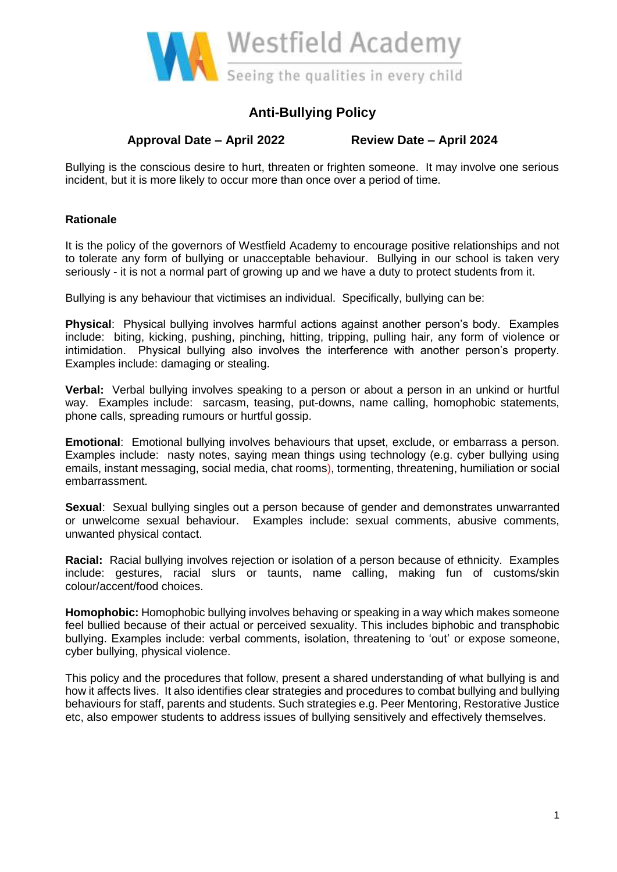

# **Anti-Bullying Policy**

**Approval Date – April 2022 Review Date – April 2024**

Bullying is the conscious desire to hurt, threaten or frighten someone. It may involve one serious incident, but it is more likely to occur more than once over a period of time.

## **Rationale**

It is the policy of the governors of Westfield Academy to encourage positive relationships and not to tolerate any form of bullying or unacceptable behaviour. Bullying in our school is taken very seriously - it is not a normal part of growing up and we have a duty to protect students from it.

Bullying is any behaviour that victimises an individual. Specifically, bullying can be:

**Physical**: Physical bullying involves harmful actions against another person's body. Examples include: biting, kicking, pushing, pinching, hitting, tripping, pulling hair, any form of violence or intimidation. Physical bullying also involves the interference with another person's property. Examples include: damaging or stealing.

**Verbal:** Verbal bullying involves speaking to a person or about a person in an unkind or hurtful way. Examples include: sarcasm, teasing, put-downs, name calling, homophobic statements, phone calls, spreading rumours or hurtful gossip.

**Emotional**: Emotional bullying involves behaviours that upset, exclude, or embarrass a person. Examples include: nasty notes, saying mean things using technology (e.g. cyber bullying using emails, instant messaging, social media, chat rooms), tormenting, threatening, humiliation or social embarrassment.

**Sexual**: Sexual bullying singles out a person because of gender and demonstrates unwarranted or unwelcome sexual behaviour. Examples include: sexual comments, abusive comments, unwanted physical contact.

**Racial:** Racial bullying involves rejection or isolation of a person because of ethnicity. Examples include: gestures, racial slurs or taunts, name calling, making fun of customs/skin colour/accent/food choices.

**Homophobic:** Homophobic bullying involves behaving or speaking in a way which makes someone feel bullied because of their actual or perceived sexuality. This includes biphobic and transphobic bullying. Examples include: verbal comments, isolation, threatening to 'out' or expose someone, cyber bullying, physical violence.

This policy and the procedures that follow, present a shared understanding of what bullying is and how it affects lives. It also identifies clear strategies and procedures to combat bullying and bullying behaviours for staff, parents and students. Such strategies e.g. Peer Mentoring, Restorative Justice etc, also empower students to address issues of bullying sensitively and effectively themselves.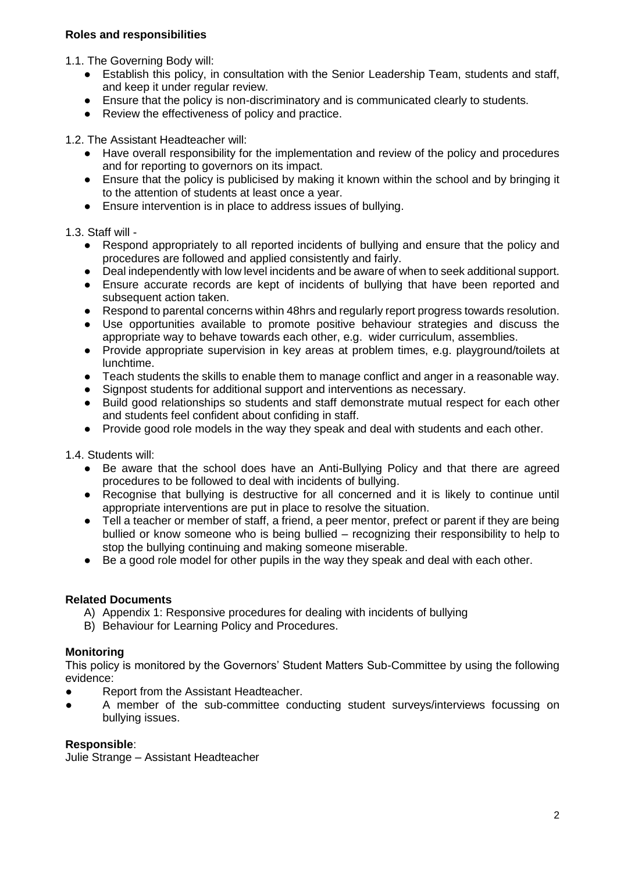## **Roles and responsibilities**

1.1. The Governing Body will:

- Establish this policy, in consultation with the Senior Leadership Team, students and staff, and keep it under regular review.
- Ensure that the policy is non-discriminatory and is communicated clearly to students.
- Review the effectiveness of policy and practice.

1.2. The Assistant Headteacher will:

- Have overall responsibility for the implementation and review of the policy and procedures and for reporting to governors on its impact.
- Ensure that the policy is publicised by making it known within the school and by bringing it to the attention of students at least once a year.
- Ensure intervention is in place to address issues of bullying.

#### 1.3. Staff will -

- Respond appropriately to all reported incidents of bullying and ensure that the policy and procedures are followed and applied consistently and fairly.
- Deal independently with low level incidents and be aware of when to seek additional support.
- Ensure accurate records are kept of incidents of bullying that have been reported and subsequent action taken.
- Respond to parental concerns within 48hrs and regularly report progress towards resolution.
- Use opportunities available to promote positive behaviour strategies and discuss the appropriate way to behave towards each other, e.g. wider curriculum, assemblies.
- Provide appropriate supervision in key areas at problem times, e.g. playground/toilets at lunchtime.
- Teach students the skills to enable them to manage conflict and anger in a reasonable way.
- Signpost students for additional support and interventions as necessary.
- Build good relationships so students and staff demonstrate mutual respect for each other and students feel confident about confiding in staff.
- Provide good role models in the way they speak and deal with students and each other.

1.4. Students will:

- Be aware that the school does have an Anti-Bullying Policy and that there are agreed procedures to be followed to deal with incidents of bullying.
- Recognise that bullying is destructive for all concerned and it is likely to continue until appropriate interventions are put in place to resolve the situation.
- Tell a teacher or member of staff, a friend, a peer mentor, prefect or parent if they are being bullied or know someone who is being bullied – recognizing their responsibility to help to stop the bullying continuing and making someone miserable.
- Be a good role model for other pupils in the way they speak and deal with each other.

#### **Related Documents**

- A) Appendix 1: Responsive procedures for dealing with incidents of bullying
- B) Behaviour for Learning Policy and Procedures.

#### **Monitoring**

This policy is monitored by the Governors' Student Matters Sub-Committee by using the following evidence:

- **Report from the Assistant Headteacher.**
- A member of the sub-committee conducting student surveys/interviews focussing on bullying issues.

#### **Responsible**:

Julie Strange – Assistant Headteacher